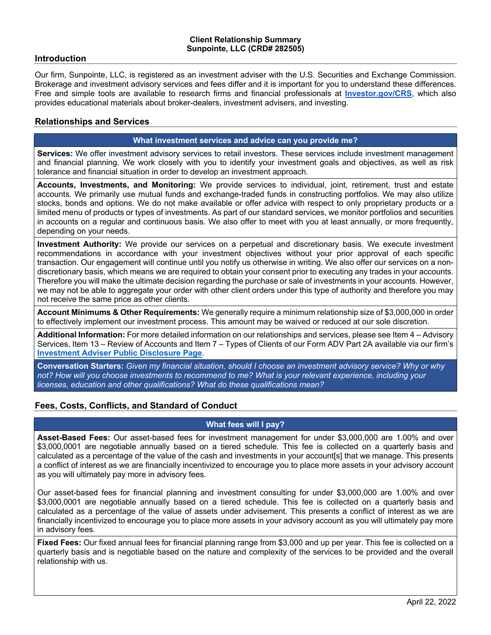### **Introduction**

Our firm, Sunpointe, LLC, is registered as an investment adviser with the U.S. Securities and Exchange Commission. Brokerage and investment advisory services and fees differ and it is important for you to understand these differences. Free and simple tools are available to research firms and financial professionals at **Investor.gov/CRS**, which also provides educational materials about broker-dealers, investment advisers, and investing.

### **Relationships and Services**

#### **What investment services and advice can you provide me?**

**Services:** We offer investment advisory services to retail investors. These services include investment management and financial planning. We work closely with you to identify your investment goals and objectives, as well as risk tolerance and financial situation in order to develop an investment approach.

**Accounts, Investments, and Monitoring:** We provide services to individual, joint, retirement, trust and estate accounts. We primarily use mutual funds and exchange-traded funds in constructing portfolios. We may also utilize stocks, bonds and options. We do not make available or offer advice with respect to only proprietary products or a limited menu of products or types of investments. As part of our standard services, we monitor portfolios and securities in accounts on a regular and continuous basis. We also offer to meet with you at least annually, or more frequently, depending on your needs.

**Investment Authority:** We provide our services on a perpetual and discretionary basis. We execute investment recommendations in accordance with your investment objectives without your prior approval of each specific transaction. Our engagement will continue until you notify us otherwise in writing. We also offer our services on a nondiscretionary basis, which means we are required to obtain your consent prior to executing any trades in your accounts. Therefore you will make the ultimate decision regarding the purchase or sale of investments in your accounts. However, we may not be able to aggregate your order with other client orders under this type of authority and therefore you may not receive the same price as other clients.

**Account Minimums & Other Requirements:** We generally require a minimum relationship size of \$3,000,000 in order to effectively implement our investment process. This amount may be waived or reduced at our sole discretion.

**Additional Information:** For more detailed information on our relationships and services, please see Item 4 – Advisory Services, Item 13 – Review of Accounts and Item 7 – Types of Clients of our Form ADV Part 2A available via our firm's **Investment Adviser Public Disclosure Page**.

**Conversation Starters:** *Given my financial situation, should I choose an investment advisory service? Why or why not? How will you choose investments to recommend to me? What is your relevant experience, including your licenses, education and other qualifications? What do these qualifications mean?*

## **Fees, Costs, Conflicts, and Standard of Conduct**

## **What fees will I pay?**

**Asset-Based Fees:** Our asset-based fees for investment management for under \$3,000,000 are 1.00% and over \$3,000,0001 are negotiable annually based on a tiered schedule. This fee is collected on a quarterly basis and calculated as a percentage of the value of the cash and investments in your account[s] that we manage. This presents a conflict of interest as we are financially incentivized to encourage you to place more assets in your advisory account as you will ultimately pay more in advisory fees.

Our asset-based fees for financial planning and investment consulting for under \$3,000,000 are 1.00% and over \$3,000,0001 are negotiable annually based on a tiered schedule. This fee is collected on a quarterly basis and calculated as a percentage of the value of assets under advisement. This presents a conflict of interest as we are financially incentivized to encourage you to place more assets in your advisory account as you will ultimately pay more in advisory fees.

**Fixed Fees:** Our fixed annual fees for financial planning range from \$3,000 and up per year. This fee is collected on a quarterly basis and is negotiable based on the nature and complexity of the services to be provided and the overall relationship with us.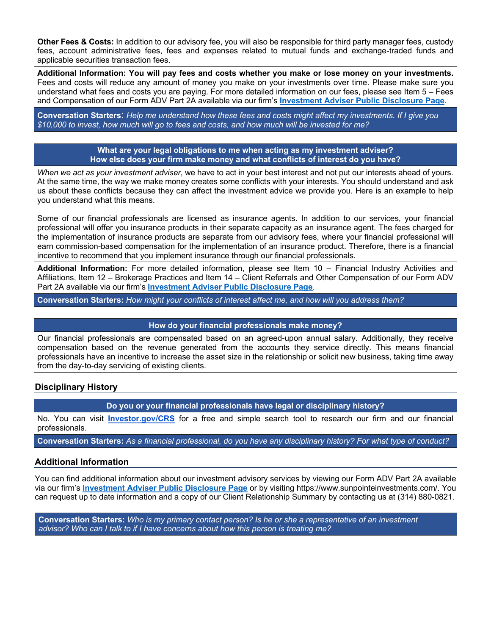**Other Fees & Costs:** In addition to our advisory fee, you will also be responsible for third party manager fees, custody fees, account administrative fees, fees and expenses related to mutual funds and exchange-traded funds and applicable securities transaction fees.

**Additional Information: You will pay fees and costs whether you make or lose money on your investments.**  Fees and costs will reduce any amount of money you make on your investments over time. Please make sure you understand what fees and costs you are paying. For more detailed information on our fees, please see Item 5 – Fees and Compensation of our Form ADV Part 2A available via our firm's **Investment Adviser Public Disclosure Page**.

**Conversation Starters**: *Help me understand how these fees and costs might affect my investments. If I give you \$10,000 to invest, how much will go to fees and costs, and how much will be invested for me?*

> **What are your legal obligations to me when acting as my investment adviser? How else does your firm make money and what conflicts of interest do you have?**

*When we act as your investment adviser*, we have to act in your best interest and not put our interests ahead of yours. At the same time, the way we make money creates some conflicts with your interests. You should understand and ask us about these conflicts because they can affect the investment advice we provide you. Here is an example to help you understand what this means.

Some of our financial professionals are licensed as insurance agents. In addition to our services, your financial professional will offer you insurance products in their separate capacity as an insurance agent. The fees charged for the implementation of insurance products are separate from our advisory fees, where your financial professional will earn commission-based compensation for the implementation of an insurance product. Therefore, there is a financial incentive to recommend that you implement insurance through our financial professionals.

**Additional Information:** For more detailed information, please see Item 10 – Financial Industry Activities and Affiliations, Item 12 – Brokerage Practices and Item 14 – Client Referrals and Other Compensation of our Form ADV Part 2A available via our firm's **Investment Adviser Public Disclosure Page**.

**Conversation Starters:** *How might your conflicts of interest affect me, and how will you address them?*

#### **How do your financial professionals make money?**

Our financial professionals are compensated based on an agreed-upon annual salary. Additionally, they receive compensation based on the revenue generated from the accounts they service directly. This means financial professionals have an incentive to increase the asset size in the relationship or solicit new business, taking time away from the day-to-day servicing of existing clients.

## **Disciplinary History**

**Do you or your financial professionals have legal or disciplinary history?**

No. You can visit **Investor.gov/CRS** for a free and simple search tool to research our firm and our financial professionals.

**Conversation Starters:** *As a financial professional, do you have any disciplinary history? For what type of conduct?*

## **Additional Information**

You can find additional information about our investment advisory services by viewing our Form ADV Part 2A available via our firm's **Investment Adviser Public Disclosure Page** or by visiting https://www.sunpointeinvestments.com/. You can request up to date information and a copy of our Client Relationship Summary by contacting us at (314) 880-0821.

**Conversation Starters:** *Who is my primary contact person? Is he or she a representative of an investment advisor? Who can I talk to if I have concerns about how this person is treating me?*